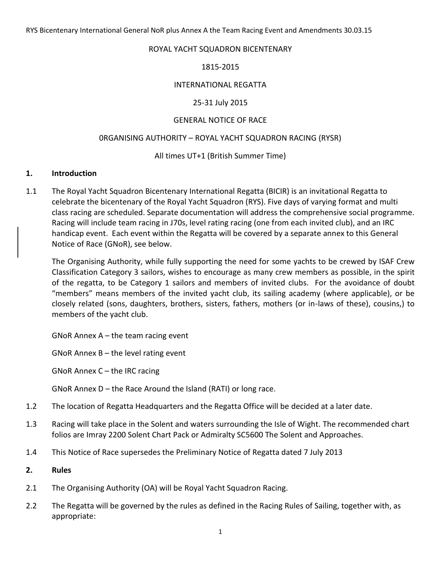#### ROYAL YACHT SQUADRON BICENTENARY

### 1815-2015

### INTERNATIONAL REGATTA

### 25-31 July 2015

# GENERAL NOTICE OF RACE

#### 0RGANISING AUTHORITY – ROYAL YACHT SQUADRON RACING (RYSR)

# All times UT+1 (British Summer Time)

#### **1. Introduction**

1.1 The Royal Yacht Squadron Bicentenary International Regatta (BICIR) is an invitational Regatta to celebrate the bicentenary of the Royal Yacht Squadron (RYS). Five days of varying format and multi class racing are scheduled. Separate documentation will address the comprehensive social programme. Racing will include team racing in J70s, level rating racing (one from each invited club), and an IRC handicap event. Each event within the Regatta will be covered by a separate annex to this General Notice of Race (GNoR), see below.

The Organising Authority, while fully supporting the need for some yachts to be crewed by ISAF Crew Classification Category 3 sailors, wishes to encourage as many crew members as possible, in the spirit of the regatta, to be Category 1 sailors and members of invited clubs. For the avoidance of doubt "members" means members of the invited yacht club, its sailing academy (where applicable), or be closely related (sons, daughters, brothers, sisters, fathers, mothers (or in-laws of these), cousins,) to members of the yacht club.

GNoR Annex  $A -$  the team racing event

GNoR Annex B – the level rating event

GNoR Annex C – the IRC racing

GNoR Annex D – the Race Around the Island (RATI) or long race.

- 1.2 The location of Regatta Headquarters and the Regatta Office will be decided at a later date.
- 1.3 Racing will take place in the Solent and waters surrounding the Isle of Wight. The recommended chart folios are Imray 2200 Solent Chart Pack or Admiralty SC5600 The Solent and Approaches.
- 1.4 This Notice of Race supersedes the Preliminary Notice of Regatta dated 7 July 2013

#### **2. Rules**

- 2.1 The Organising Authority (OA) will be Royal Yacht Squadron Racing.
- 2.2 The Regatta will be governed by the rules as defined in the Racing Rules of Sailing, together with, as appropriate: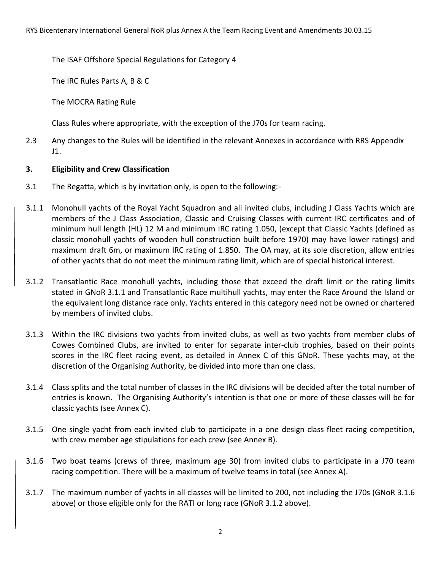The ISAF Offshore Special Regulations for Category 4

The IRC Rules Parts A, B & C

The MOCRA Rating Rule

Class Rules where appropriate, with the exception of the J70s for team racing.

2.3 Any changes to the Rules will be identified in the relevant Annexes in accordance with RRS Appendix J1.

# **3. Eligibility and Crew Classification**

- 3.1 The Regatta, which is by invitation only, is open to the following:-
- 3.1.1 Monohull yachts of the Royal Yacht Squadron and all invited clubs, including J Class Yachts which are members of the J Class Association, Classic and Cruising Classes with current IRC certificates and of minimum hull length (HL) 12 M and minimum IRC rating 1.050, (except that Classic Yachts (defined as classic monohull yachts of wooden hull construction built before 1970) may have lower ratings) and maximum draft 6m, or maximum IRC rating of 1.850. The OA may, at its sole discretion, allow entries of other yachts that do not meet the minimum rating limit, which are of special historical interest.
- 3.1.2 Transatlantic Race monohull yachts, including those that exceed the draft limit or the rating limits stated in GNoR 3.1.1 and Transatlantic Race multihull yachts, may enter the Race Around the Island or the equivalent long distance race only. Yachts entered in this category need not be owned or chartered by members of invited clubs.
- 3.1.3 Within the IRC divisions two yachts from invited clubs, as well as two yachts from member clubs of Cowes Combined Clubs, are invited to enter for separate inter-club trophies, based on their points scores in the IRC fleet racing event, as detailed in Annex C of this GNoR. These yachts may, at the discretion of the Organising Authority, be divided into more than one class.
- 3.1.4 Class splits and the total number of classes in the IRC divisions will be decided after the total number of entries is known. The Organising Authority's intention is that one or more of these classes will be for classic yachts (see Annex C).
- 3.1.5 One single yacht from each invited club to participate in a one design class fleet racing competition, with crew member age stipulations for each crew (see Annex B).
- 3.1.6 Two boat teams (crews of three, maximum age 30) from invited clubs to participate in a J70 team racing competition. There will be a maximum of twelve teams in total (see Annex A).
- 3.1.7 The maximum number of yachts in all classes will be limited to 200, not including the J70s (GNoR 3.1.6 above) or those eligible only for the RATI or long race (GNoR 3.1.2 above).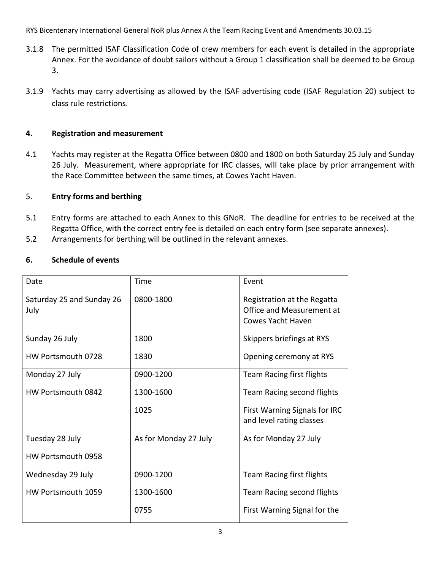- 3.1.8 The permitted ISAF Classification Code of crew members for each event is detailed in the appropriate Annex. For the avoidance of doubt sailors without a Group 1 classification shall be deemed to be Group 3.
- 3.1.9 Yachts may carry advertising as allowed by the ISAF advertising code (ISAF Regulation 20) subject to class rule restrictions.

# **4. Registration and measurement**

4.1 Yachts may register at the Regatta Office between 0800 and 1800 on both Saturday 25 July and Sunday 26 July. Measurement, where appropriate for IRC classes, will take place by prior arrangement with the Race Committee between the same times, at Cowes Yacht Haven.

# 5. **Entry forms and berthing**

- 5.1 Entry forms are attached to each Annex to this GNoR. The deadline for entries to be received at the Regatta Office, with the correct entry fee is detailed on each entry form (see separate annexes).
- 5.2 Arrangements for berthing will be outlined in the relevant annexes.

# **6. Schedule of events**

| Date                              | Time                  | Event                                                                         |
|-----------------------------------|-----------------------|-------------------------------------------------------------------------------|
| Saturday 25 and Sunday 26<br>July | 0800-1800             | Registration at the Regatta<br>Office and Measurement at<br>Cowes Yacht Haven |
| Sunday 26 July                    | 1800                  | Skippers briefings at RYS                                                     |
| HW Portsmouth 0728                | 1830                  | Opening ceremony at RYS                                                       |
| Monday 27 July                    | 0900-1200             | Team Racing first flights                                                     |
| HW Portsmouth 0842                | 1300-1600             | Team Racing second flights                                                    |
|                                   | 1025                  | First Warning Signals for IRC<br>and level rating classes                     |
| Tuesday 28 July                   | As for Monday 27 July | As for Monday 27 July                                                         |
| HW Portsmouth 0958                |                       |                                                                               |
| Wednesday 29 July                 | 0900-1200             | Team Racing first flights                                                     |
| HW Portsmouth 1059                | 1300-1600             | Team Racing second flights                                                    |
|                                   | 0755                  | First Warning Signal for the                                                  |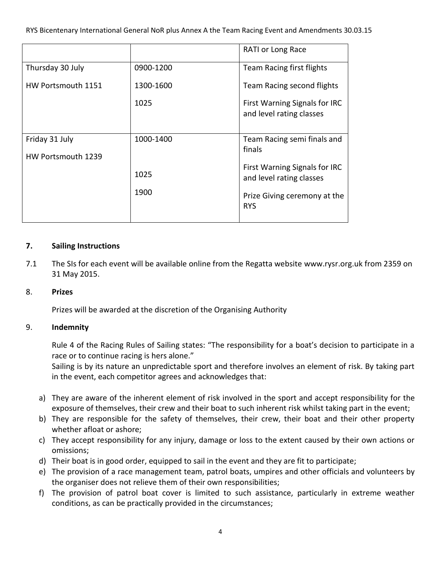|                                      |           | RATI or Long Race                                         |
|--------------------------------------|-----------|-----------------------------------------------------------|
| Thursday 30 July                     | 0900-1200 | Team Racing first flights                                 |
| HW Portsmouth 1151                   | 1300-1600 | Team Racing second flights                                |
|                                      | 1025      | First Warning Signals for IRC<br>and level rating classes |
| Friday 31 July<br>HW Portsmouth 1239 | 1000-1400 | Team Racing semi finals and<br>finals                     |
|                                      | 1025      | First Warning Signals for IRC<br>and level rating classes |
|                                      | 1900      | Prize Giving ceremony at the<br><b>RYS</b>                |
|                                      |           |                                                           |

# **7. Sailing Instructions**

7.1 The SIs for each event will be available online from the Regatta website www.rysr.org.uk from 2359 on 31 May 2015.

# 8. **Prizes**

Prizes will be awarded at the discretion of the Organising Authority

# 9. **Indemnity**

Rule 4 of the Racing Rules of Sailing states: "The responsibility for a boat's decision to participate in a race or to continue racing is hers alone."

Sailing is by its nature an unpredictable sport and therefore involves an element of risk. By taking part in the event, each competitor agrees and acknowledges that:

- a) They are aware of the inherent element of risk involved in the sport and accept responsibility for the exposure of themselves, their crew and their boat to such inherent risk whilst taking part in the event;
- b) They are responsible for the safety of themselves, their crew, their boat and their other property whether afloat or ashore;
- c) They accept responsibility for any injury, damage or loss to the extent caused by their own actions or omissions;
- d) Their boat is in good order, equipped to sail in the event and they are fit to participate;
- e) The provision of a race management team, patrol boats, umpires and other officials and volunteers by the organiser does not relieve them of their own responsibilities;
- f) The provision of patrol boat cover is limited to such assistance, particularly in extreme weather conditions, as can be practically provided in the circumstances;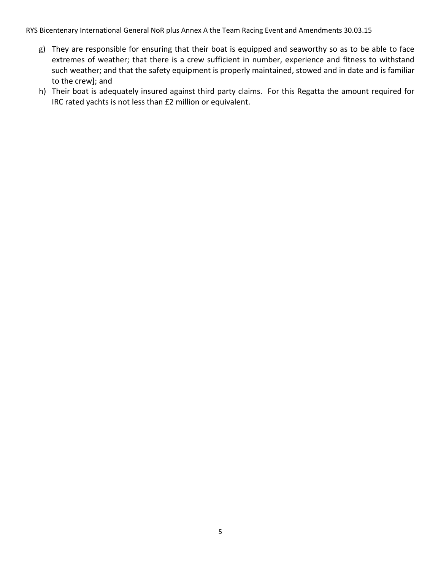- g) They are responsible for ensuring that their boat is equipped and seaworthy so as to be able to face extremes of weather; that there is a crew sufficient in number, experience and fitness to withstand such weather; and that the safety equipment is properly maintained, stowed and in date and is familiar to the crew]; and
- h) Their boat is adequately insured against third party claims. For this Regatta the amount required for IRC rated yachts is not less than £2 million or equivalent.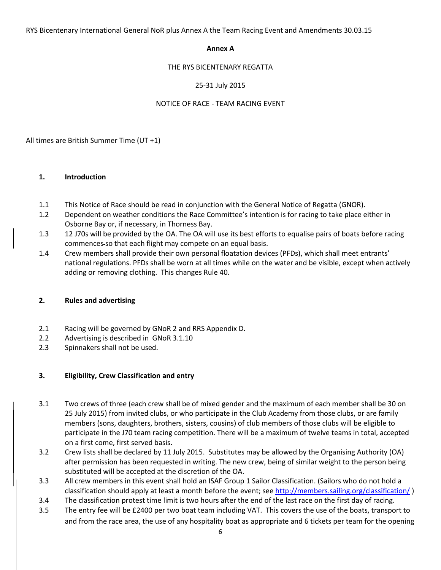#### **Annex A**

#### THE RYS BICENTENARY REGATTA

### 25-31 July 2015

#### NOTICE OF RACE - TEAM RACING EVENT

All times are British Summer Time (UT +1)

#### **1. Introduction**

- 1.1 This Notice of Race should be read in conjunction with the General Notice of Regatta (GNOR).
- 1.2 Dependent on weather conditions the Race Committee's intention is for racing to take place either in Osborne Bay or, if necessary, in Thorness Bay.
- 1.3 12 J70s will be provided by the OA. The OA will use its best efforts to equalise pairs of boats before racing commences so that each flight may compete on an equal basis.
- 1.4 Crew members shall provide their own personal floatation devices (PFDs), which shall meet entrants' national regulations. PFDs shall be worn at all times while on the water and be visible, except when actively adding or removing clothing. This changes Rule 40.

#### **2. Rules and advertising**

- 2.1 Racing will be governed by GNoR 2 and RRS Appendix D.
- 2.2 Advertising is described in GNoR 3.1.10
- 2.3 Spinnakers shall not be used.

#### **3. Eligibility, Crew Classification and entry**

- 3.1 Two crews of three (each crew shall be of mixed gender and the maximum of each member shall be 30 on 25 July 2015) from invited clubs, or who participate in the Club Academy from those clubs, or are family members (sons, daughters, brothers, sisters, cousins) of club members of those clubs will be eligible to participate in the J70 team racing competition. There will be a maximum of twelve teams in total, accepted on a first come, first served basis.
- 3.2 Crew lists shall be declared by 11 July 2015. Substitutes may be allowed by the Organising Authority (OA) after permission has been requested in writing. The new crew, being of similar weight to the person being substituted will be accepted at the discretion of the OA.
- 3.3 All crew members in this event shall hold an ISAF Group 1 Sailor Classification. (Sailors who do not hold a classification should apply at least a month before the event; see<http://members.sailing.org/classification/>)
- 3.4 The classification protest time limit is two hours after the end of the last race on the first day of racing.
- 3.5 The entry fee will be £2400 per two boat team including VAT. This covers the use of the boats, transport to and from the race area, the use of any hospitality boat as appropriate and 6 tickets per team for the opening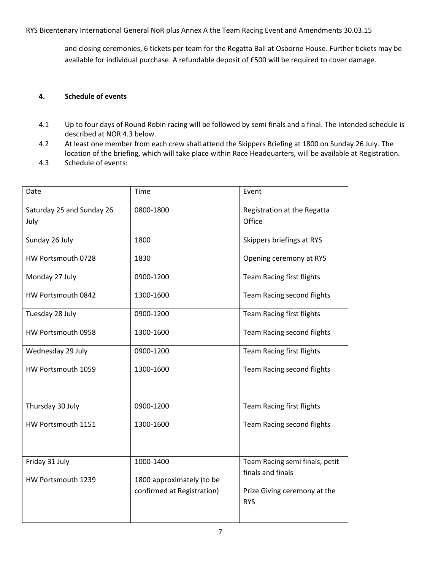and closing ceremonies, 6 tickets per team for the Regatta Ball at Osborne House. Further tickets may be available for individual purchase. A refundable deposit of £500 will be required to cover damage.

#### **4. Schedule of events**

- 4.1 Up to four days of Round Robin racing will be followed by semi finals and a final. The intended schedule is described at NOR 4.3 below.
- 4.2 At least one member from each crew shall attend the Skippers Briefing at 1800 on Sunday 26 July. The location of the briefing, which will take place within Race Headquarters, will be available at Registration.
- 4.3 Schedule of events:

| Date                                 | Time                                                                 | Event                                                                               |
|--------------------------------------|----------------------------------------------------------------------|-------------------------------------------------------------------------------------|
| Saturday 25 and Sunday 26<br>July    | 0800-1800                                                            | Registration at the Regatta<br>Office                                               |
| Sunday 26 July                       | 1800                                                                 | Skippers briefings at RYS                                                           |
| HW Portsmouth 0728                   | 1830                                                                 | Opening ceremony at RYS                                                             |
| Monday 27 July                       | 0900-1200                                                            | Team Racing first flights                                                           |
| HW Portsmouth 0842                   | 1300-1600                                                            | Team Racing second flights                                                          |
| Tuesday 28 July                      | 0900-1200                                                            | Team Racing first flights                                                           |
| HW Portsmouth 0958                   | 1300-1600                                                            | Team Racing second flights                                                          |
| Wednesday 29 July                    | 0900-1200                                                            | Team Racing first flights                                                           |
| HW Portsmouth 1059                   | 1300-1600                                                            | Team Racing second flights                                                          |
| Thursday 30 July                     | 0900-1200                                                            | Team Racing first flights                                                           |
| HW Portsmouth 1151                   | 1300-1600                                                            | Team Racing second flights                                                          |
| Friday 31 July<br>HW Portsmouth 1239 | 1000-1400<br>1800 approximately (to be<br>confirmed at Registration) | Team Racing semi finals, petit<br>finals and finals<br>Prize Giving ceremony at the |
|                                      |                                                                      | <b>RYS</b>                                                                          |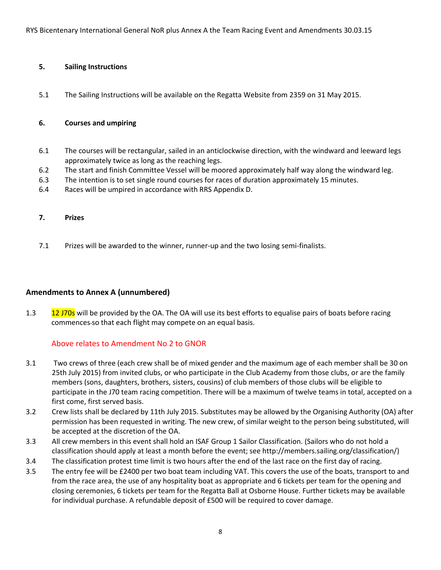#### **5. Sailing Instructions**

5.1 The Sailing Instructions will be available on the Regatta Website from 2359 on 31 May 2015.

#### **6. Courses and umpiring**

- 6.1 The courses will be rectangular, sailed in an anticlockwise direction, with the windward and leeward legs approximately twice as long as the reaching legs.
- 6.2 The start and finish Committee Vessel will be moored approximately half way along the windward leg.
- 6.3 The intention is to set single round courses for races of duration approximately 15 minutes.
- 6.4 Races will be umpired in accordance with RRS Appendix D.

#### **7. Prizes**

7.1 Prizes will be awarded to the winner, runner-up and the two losing semi-finalists.

#### **Amendments to Annex A (unnumbered)**

1.3 12 J70s will be provided by the OA. The OA will use its best efforts to equalise pairs of boats before racing commences so that each flight may compete on an equal basis.

#### Above relates to Amendment No 2 to GNOR

- 3.1 Two crews of three (each crew shall be of mixed gender and the maximum age of each member shall be 30 on 25th July 2015) from invited clubs, or who participate in the Club Academy from those clubs, or are the family members (sons, daughters, brothers, sisters, cousins) of club members of those clubs will be eligible to participate in the J70 team racing competition. There will be a maximum of twelve teams in total, accepted on a first come, first served basis.
- 3.2 Crew lists shall be declared by 11th July 2015. Substitutes may be allowed by the Organising Authority (OA) after permission has been requested in writing. The new crew, of similar weight to the person being substituted, will be accepted at the discretion of the OA.
- 3.3 All crew members in this event shall hold an ISAF Group 1 Sailor Classification. (Sailors who do not hold a classification should apply at least a month before the event; see http://members.sailing.org/classification/)
- 3.4 The classification protest time limit is two hours after the end of the last race on the first day of racing.
- 3.5 The entry fee will be £2400 per two boat team including VAT. This covers the use of the boats, transport to and from the race area, the use of any hospitality boat as appropriate and 6 tickets per team for the opening and closing ceremonies, 6 tickets per team for the Regatta Ball at Osborne House. Further tickets may be available for individual purchase. A refundable deposit of £500 will be required to cover damage.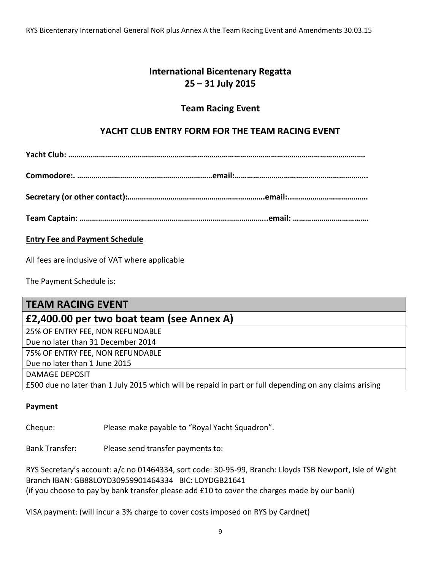# **International Bicentenary Regatta 25 – 31 July 2015**

# **Team Racing Event**

# **YACHT CLUB ENTRY FORM FOR THE TEAM RACING EVENT**

**Yacht Club: ……………………………………………………………………………………………………………………………….**

**Commodore:. …………………………………………………………email:………………………………………………………..**

**Secretary (or other contact):………………………………………………………….email:..……………………………….**

**Team Captain: ………………………………………………………………………………..email: ……………………………….**

# **Entry Fee and Payment Schedule**

All fees are inclusive of VAT where applicable

The Payment Schedule is:

| <b>TEAM RACING EVENT</b>                                                                                |
|---------------------------------------------------------------------------------------------------------|
| £2,400.00 per two boat team (see Annex A)                                                               |
| 25% OF ENTRY FEE, NON REFUNDABLE                                                                        |
| Due no later than 31 December 2014                                                                      |
| 75% OF ENTRY FEE, NON REFUNDABLE                                                                        |
| Due no later than 1 June 2015                                                                           |
| <b>DAMAGE DEPOSIT</b>                                                                                   |
| £500 due no later than 1 July 2015 which will be repaid in part or full depending on any claims arising |

# **Payment**

Cheque: Please make payable to "Royal Yacht Squadron".

Bank Transfer: Please send transfer payments to:

RYS Secretary's account: a/c no 01464334, sort code: 30-95-99, Branch: Lloyds TSB Newport, Isle of Wight Branch IBAN: GB88LOYD30959901464334 BIC: LOYDGB21641 (if you choose to pay by bank transfer please add £10 to cover the charges made by our bank)

VISA payment: (will incur a 3% charge to cover costs imposed on RYS by Cardnet)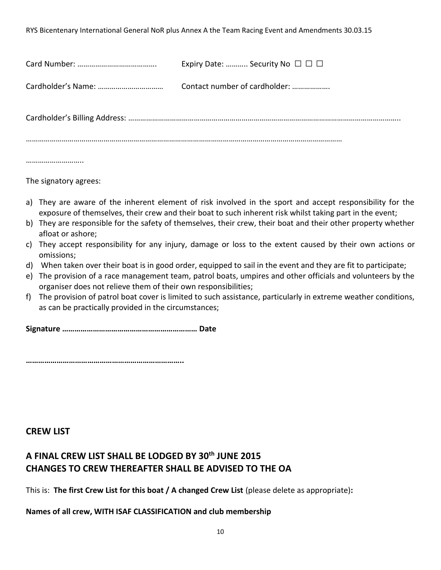| Expiry Date:  Security No $\Box$ $\Box$ |
|-----------------------------------------|
| Contact number of cardholder:           |
|                                         |
|                                         |

The signatory agrees:

- a) They are aware of the inherent element of risk involved in the sport and accept responsibility for the exposure of themselves, their crew and their boat to such inherent risk whilst taking part in the event;
- b) They are responsible for the safety of themselves, their crew, their boat and their other property whether afloat or ashore;
- c) They accept responsibility for any injury, damage or loss to the extent caused by their own actions or omissions;
- d) When taken over their boat is in good order, equipped to sail in the event and they are fit to participate;
- e) The provision of a race management team, patrol boats, umpires and other officials and volunteers by the organiser does not relieve them of their own responsibilities;
- f) The provision of patrol boat cover is limited to such assistance, particularly in extreme weather conditions, as can be practically provided in the circumstances;

**Signature ………………………………………………………… Date** 

**…………………………………………………………………..**

# **CREW LIST**

# **A FINAL CREW LIST SHALL BE LODGED BY 30th JUNE 2015 CHANGES TO CREW THEREAFTER SHALL BE ADVISED TO THE OA**

This is: **The first Crew List for this boat / A changed Crew List** (please delete as appropriate)**:**

# **Names of all crew, WITH ISAF CLASSIFICATION and club membership**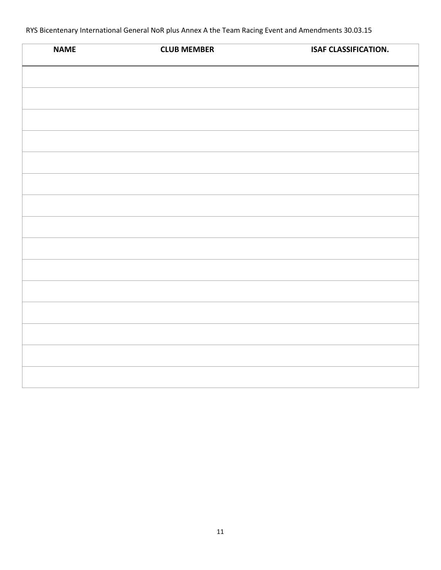| <b>NAME</b> | <b>CLUB MEMBER</b> | <b>ISAF CLASSIFICATION.</b> |
|-------------|--------------------|-----------------------------|
|             |                    |                             |
|             |                    |                             |
|             |                    |                             |
|             |                    |                             |
|             |                    |                             |
|             |                    |                             |
|             |                    |                             |
|             |                    |                             |
|             |                    |                             |
|             |                    |                             |
|             |                    |                             |
|             |                    |                             |
|             |                    |                             |
|             |                    |                             |
|             |                    |                             |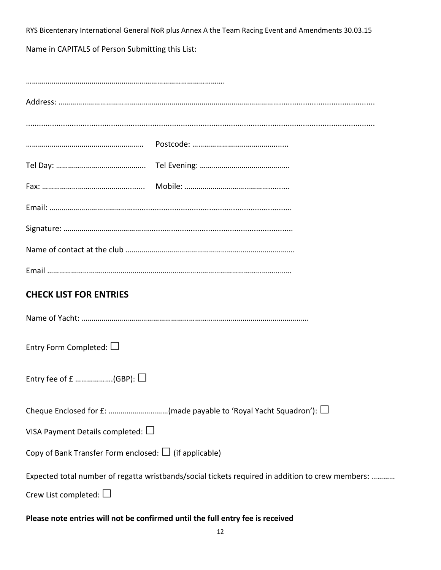Name in CAPITALS of Person Submitting this List:

| <b>CHECK LIST FOR ENTRIES</b>                                                                    |  |  |
|--------------------------------------------------------------------------------------------------|--|--|
|                                                                                                  |  |  |
| Entry Form Completed: $\Box$                                                                     |  |  |
| Entry fee of £ (GBP): $\Box$                                                                     |  |  |
|                                                                                                  |  |  |
| VISA Payment Details completed: $\Box$                                                           |  |  |
| Copy of Bank Transfer Form enclosed: $\Box$ (if applicable)                                      |  |  |
| Expected total number of regatta wristbands/social tickets required in addition to crew members: |  |  |
| Crew List completed: $\Box$                                                                      |  |  |

# **Please note entries will not be confirmed until the full entry fee is received**